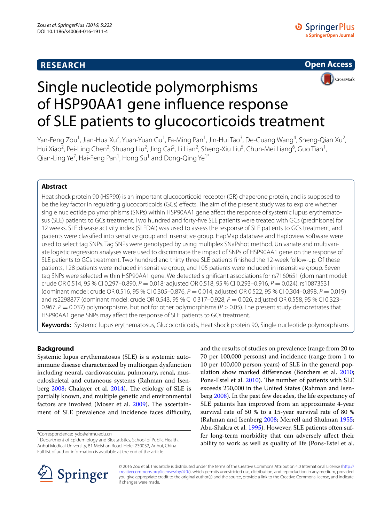# **RESEARCH**



# Single nucleotide polymorphisms of HSP90AA1 gene influence response of SLE patients to glucocorticoids treatment

Yan-Feng Zou<sup>1</sup>, Jian-Hua Xu<sup>2</sup>, Yuan-Yuan Gu<sup>1</sup>, Fa-Ming Pan<sup>1</sup>, Jin-Hui Tao<sup>3</sup>, De-Guang Wang<sup>4</sup>, Sheng-Qian Xu<sup>2</sup>, Hui Xiao<sup>2</sup>, Pei-Ling Chen<sup>2</sup>, Shuang Liu<sup>2</sup>, Jing Cai<sup>2</sup>, Li Lian<sup>2</sup>, Sheng-Xiu Liu<sup>5</sup>, Chun-Mei Liang<sup>6</sup>, Guo Tian<sup>1</sup>, Qian-Ling Ye $^7$ , Hai-Feng Pan $^1$ , Hong Su $^1$  and Dong-Qing Ye $^{1^\ast}$ 

# **Abstract**

Heat shock protein 90 (HSP90) is an important glucocorticoid receptor (GR) chaperone protein, and is supposed to be the key factor in regulating glucocorticoids (GCs) effects. The aim of the present study was to explore whether single nucleotide polymorphisms (SNPs) within HSP90AA1 gene affect the response of systemic lupus erythematosus (SLE) patients to GCs treatment. Two hundred and forty-five SLE patients were treated with GCs (prednisone) for 12 weeks. SLE disease activity index (SLEDAI) was used to assess the response of SLE patients to GCs treatment, and patients were classified into sensitive group and insensitive group. HapMap database and Haploview software were used to select tag SNPs. Tag SNPs were genotyped by using multiplex SNaPshot method. Univariate and multivariate logistic regression analyses were used to discriminate the impact of SNPs of HSP90AA1 gene on the response of SLE patients to GCs treatment. Two hundred and thirty three SLE patients finished the 12-week follow-up. Of these patients, 128 patients were included in sensitive group, and 105 patients were included in insensitive group. Seven tag SNPs were selected within HSP90AA1 gene. We detected significant associations for rs7160651 (dominant model: crude OR 0.514, 95 % CI 0.297–0.890, *P* = 0.018; adjusted OR 0.518, 95 % CI 0.293–0.916, *P* = 0.024), rs10873531 (dominant model: crude OR 0.516, 95 % CI 0.305–0.876, *P* = 0.014; adjusted OR 0.522, 95 % CI 0.304–0.898, *P* = 0.019) and rs2298877 (dominant model: crude OR 0.543, 95 % CI 0.317–0.928,  $P = 0.026$ , adjusted OR 0.558, 95 % CI 0.323– 0.967, *P* = 0.037) polymorphisms, but not for other polymorphisms (*P* > 0.05). The present study demonstrates that HSP90AA1 gene SNPs may affect the response of SLE patients to GCs treatment.

**Keywords:** Systemic lupus erythematosus, Glucocorticoids, Heat shock protein 90, Single nucleotide polymorphisms

# **Background**

Systemic lupus erythematosus (SLE) is a systemic autoimmune disease characterized by multiorgan dysfunction including neural, cardiovascular, pulmonary, renal, musculoskeletal and cutaneous systems (Rahman and Isenberg [2008](#page-6-0); Chalayer et al. [2014\)](#page-5-0). The etiology of SLE is partially known, and multiple genetic and environmental factors are involved (Moser et al. [2009](#page-6-1)). The ascertainment of SLE prevalence and incidence faces difficulty,

\*Correspondence: ydq@ahmu.edu.cn

<sup>1</sup> Department of Epidemiology and Biostatistics, School of Public Health, Anhui Medical University, 81 Meishan Road, Hefei 230032, Anhui, China Full list of author information is available at the end of the article

and the results of studies on prevalence (range from 20 to 70 per 100,000 persons) and incidence (range from 1 to 10 per 100,000 person-years) of SLE in the general population show marked differences (Borchers et al. [2010](#page-5-1); Pons-Estel et al. [2010](#page-6-2)). The number of patients with SLE exceeds 250,000 in the United States (Rahman and Isenberg [2008\)](#page-6-0). In the past few decades, the life expectancy of SLE patients has improved from an approximate 4-year survival rate of 50 % to a 15-year survival rate of 80 % (Rahman and Isenberg [2008;](#page-6-0) Merrell and Shulman [1955](#page-6-3); Abu-Shakra et al. [1995](#page-5-2)). However, SLE patients often suffer long-term morbidity that can adversely affect their ability to work as well as quality of life (Pons-Estel et al.



© 2016 Zou et al. This article is distributed under the terms of the Creative Commons Attribution 4.0 International License [\(http://](http://creativecommons.org/licenses/by/4.0/) [creativecommons.org/licenses/by/4.0/](http://creativecommons.org/licenses/by/4.0/)), which permits unrestricted use, distribution, and reproduction in any medium, provided you give appropriate credit to the original author(s) and the source, provide a link to the Creative Commons license, and indicate if changes were made.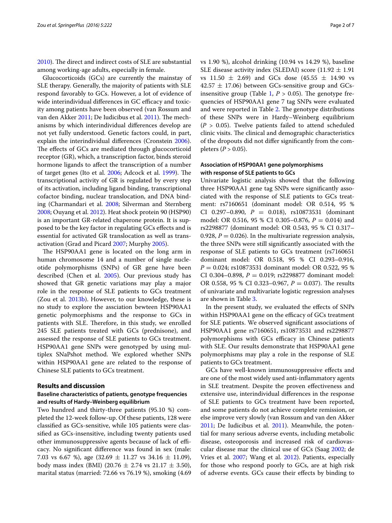[2010](#page-6-2)). The direct and indirect costs of SLE are substantial among working-age adults, especially in female.

Glucocorticoids (GCs) are currently the mainstay of SLE therapy. Generally, the majority of patients with SLE respond favorably to GCs. However, a lot of evidence of wide interindividual differences in GC efficacy and toxicity among patients have been observed (van Rossum and van den Akker [2011](#page-6-4); De Iudicibus et al. [2011\)](#page-5-3). The mechanisms by which interindividual differences develop are not yet fully understood. Genetic factors could, in part, explain the interindividual differences (Cronstein [2006](#page-5-4)). The effects of GCs are mediated through glucocorticoid receptor (GR), which, a transcription factor, binds steroid hormone ligands to affect the transcription of a number of target genes (Ito et al. [2006](#page-6-5); Adcock et al. [1999](#page-5-5)). The transcriptional activity of GR is regulated by every step of its activation, including ligand binding, transcriptional cofactor binding, nuclear translocation, and DNA binding (Charmandari et al. [2008](#page-5-6); Silverman and Sternberg [2008](#page-6-6); Ouyang et al. [2012\)](#page-6-7). Heat shock protein 90 (HSP90) is an important GR-related chaperone protein. It is supposed to be the key factor in regulating GCs effects and is essential for activated GR translocation as well as transactivation (Grad and Picard [2007](#page-6-8); Murphy [2005\)](#page-6-9).

The HSP90AA1 gene is located on the long arm in human chromosome 14 and a number of single nucleotide polymorphisms (SNPs) of GR gene have been described (Chen et al. [2005\)](#page-5-7). Our previous study has showed that GR genetic variations may play a major role in the response of SLE patients to GCs treatment (Zou et al.  $2013<sub>b</sub>$ ). However, to our knowledge, these is no study to explore the assciation bewteen HSP90AA1 genetic polymorphisms and the response to GCs in patients with SLE. Therefore, in this study, we enrolled 245 SLE patients treated with GCs (prednisone), and assessed the response of SLE patients to GCs treatment. HSP90AA1 gene SNPs were genotyped by using multiplex SNaPshot method. We explored whether SNPs within HSP90AA1 gene are related to the response of Chinese SLE patients to GCs treatment.

## **Results and discussion**

## **Baseline characteristics of patients, genotype frequencies and results of Hardy–Weinberg equilibrium**

Two hundred and thirty-three patients (95.10 %) completed the 12-week follow-up. Of these patients, 128 were classified as GCs-sensitive, while 105 patients were classified as GCs-insensitive, including twenty patients used other immunosuppressive agents because of lack of efficacy. No significant difference was found in sex (male: 7.03 vs 6.67 %), age  $(32.69 \pm 11.27 \text{ vs } 34.16 \pm 11.09)$ , body mass index (BMI) (20.76  $\pm$  2.74 vs 21.17  $\pm$  3.50), marital status (married: 72.66 vs 76.19 %), smoking (4.69 vs 1.90 %), alcohol drinking (10.94 vs 14.29 %), baseline SLE disease activity index (SLEDAI) score (11.92  $\pm$  1.91 vs  $11.50 \pm 2.69$ ) and GCs dose  $(45.55 \pm 14.90 \text{ vs }$  $42.57 \pm 17.06$ ) between GCs-sensitive group and GCs-insensitive group (Table [1,](#page-2-0)  $P > 0.05$ ). The genotype frequencies of HSP90AA1 gene 7 tag SNPs were evaluated and were reported in Table [2](#page-2-1). The genotype distributions of these SNPs were in Hardy–Weinberg equilibrium  $(P > 0.05)$ . Twelve patients failed to attend scheduled clinic visits. The clinical and demographic characteristics of the dropouts did not differ significantly from the completers (*P* > 0.05).

# **Association of HSP90AA1 gene polymorphisms with response of SLE patients to GCs**

Univariate logistic analysis showed that the following three HSP90AA1 gene tag SNPs were significantly associated with the response of SLE patients to GCs treatment: rs7160651 (dominant model: OR 0.514, 95 % CI 0.297–0.890, *P* = 0.018), rs10873531 (dominant model: OR 0.516, 95 % CI 0.305–0.876, *P* = 0.014) and rs2298877 (dominant model: OR 0.543, 95 % CI 0.317– 0.928,  $P = 0.026$ ). In the multivariate regression analysis, the three SNPs were still significantly associated with the response of SLE patients to GCs treatment (rs7160651 dominant model: OR 0.518, 95 % CI 0.293–0.916, *P* = 0.024; rs10873531 dominant model: OR 0.522, 95 % CI 0.304-0.898,  $P = 0.019$ ; rs2298877 dominant model: OR 0.558, 95 % CI 0.323–0.967, *P* = 0.037). The results of univariate and multivariate logistic regression analyses are shown in Table [3.](#page-3-0)

In the present study, we evaluated the effects of SNPs within HSP90AA1 gene on the efficacy of GCs treatment for SLE patients. We observed significant associations of HSP90AA1 gene rs7160651, rs10873531 and rs2298877 polymorphisms with GCs efficacy in Chinese patients with SLE. Our results demonstrate that HSP90AA1 gene polymorphisms may play a role in the response of SLE patients to GCs treatment.

GCs have well-known immunosuppressive effects and are one of the most widely used anti-inflammatory agents in SLE treatment. Despite the proven effectiveness and extensive use, interindividual differences in the response of SLE patients to GCs treatment have been reported, and some patients do not achieve complete remission, or else improve very slowly (van Rossum and van den Akker [2011](#page-5-3); De Iudicibus et al. 2011). Meanwhile, the potential for many serious adverse events, including metabolic disease, osteoporosis and increased risk of cardiovascular disease mar the clinical use of GCs (Saag [2002](#page-6-11); de Vries et al. [2007;](#page-5-8) Wang et al. [2012](#page-6-12)). Patients, especially for those who respond poorly to GCs, are at high risk of adverse events. GCs cause their effects by binding to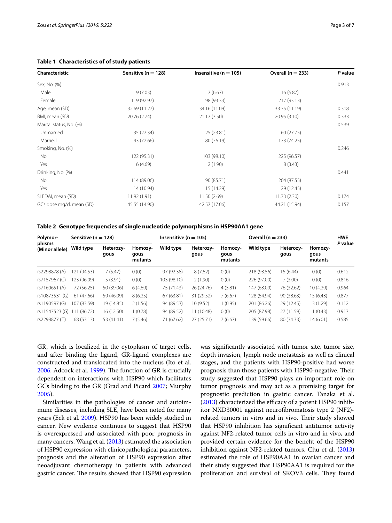| Characteristic           | Sensitive ( $n = 128$ ) | Insensitive ( $n = 105$ ) | Overall $(n = 233)$ | P value |
|--------------------------|-------------------------|---------------------------|---------------------|---------|
| Sex, No. (%)             |                         |                           |                     | 0.913   |
| Male                     | 9(7.03)                 | 7(6.67)                   | 16(6.87)            |         |
| Female                   | 119 (92.97)             | 98 (93.33)                | 217 (93.13)         |         |
| Age, mean (SD)           | 32.69 (11.27)           | 34.16 (11.09)             | 33.35 (11.19)       | 0.318   |
| BMI, mean (SD)           | 20.76 (2.74)            | 21.17 (3.50)              | 20.95 (3.10)        | 0.333   |
| Marital status, No. (%)  |                         |                           |                     | 0.539   |
| Unmarried                | 35 (27.34)              | 25 (23.81)                | 60 (27.75)          |         |
| Married                  | 93 (72.66)              | 80 (76.19)                | 173 (74.25)         |         |
| Smoking, No. (%)         |                         |                           |                     | 0.246   |
| No                       | 122 (95.31)             | 103 (98.10)               | 225 (96.57)         |         |
| Yes                      | 6(4.69)                 | 2(1.90)                   | 8(3.43)             |         |
| Drinking, No. (%)        |                         |                           |                     | 0.441   |
| No                       | 114 (89.06)             | 90 (85.71)                | 204 (87.55)         |         |
| Yes                      | 14 (10.94)              | 15 (14.29)                | 29 (12.45)          |         |
| SLEDAI, mean (SD)        | 11.92 (1.91)            | 11.50 (2.69)              | 11.73(2.30)         | 0.174   |
| GCs dose mg/d, mean (SD) | 45.55 (14.90)           | 42.57 (17.06)             | 44.21 (15.94)       | 0.157   |

## <span id="page-2-0"></span>**Table 1 Characteristics of of study patients**

<span id="page-2-1"></span>**Table 2 Genotype frequencies of single nucleotide polymorphisms in HSP90AA1 gene**

| Polymor-<br>Sensitive ( $n = 128$ ) |             | Insensitive ( $n = 105$ ) |                            |             | Overall $(n = 233)$ |                            |             | <b>HWE</b>        |                            |         |
|-------------------------------------|-------------|---------------------------|----------------------------|-------------|---------------------|----------------------------|-------------|-------------------|----------------------------|---------|
| phisms<br>(Minor allele)            | Wild type   | Heterozy-<br>qous         | Homozy-<br>gous<br>mutants | Wild type   | Heterozy-<br>qous   | Homozy-<br>gous<br>mutants | Wild type   | Heterozy-<br>qous | Homozy-<br>gous<br>mutants | P value |
| rs2298878 (A)                       | 121 (94.53) | 7(5.47)                   | 0(0)                       | 97 (92.38)  | 8(7.62)             | 0(0)                       | 218 (93.56) | 15 (6.44)         | 0(0)                       | 0.612   |
| rs7157967 (C)                       | 23 (96.09)  | 5(3.91)                   | 0(0)                       | 103 (98.10) | 2(1.90)             | 0(0)                       | 226 (97.00) | 7(3.00)           | 0(0)                       | 0.816   |
| rs7160651 (A)                       | 72 (56.25)  | 50 (39.06)                | 6(4.69)                    | 75 (71.43)  | 26 (24.76)          | 4(3.81)                    | 147 (63.09) | 76 (32.62)        | 10 (4.29)                  | 0.964   |
| rs10873531 (G)                      | 61 (47.66)  | 59 (46.09)                | 8(6.25)                    | 67 (63.81)  | 31 (29.52)          | 7(6.67)                    | 128 (54.94) | 90 (38.63)        | 15(6.43)                   | 0.877   |
| rs1190597 (G)                       | 107 (83.59) | 19 (14.85)                | 2(1.56)                    | 94 (89.53)  | 10 (9.52)           | 1(0.95)                    | 201 (86.26) | 29 (12.45)        | 3(1.29)                    | 0.112   |
| rs11547523 (G)                      | (86.72)     | 16(12.50)                 | (0.78)                     | 94 (89.52)  | 11 (10.48)          | 0(0)                       | 205 (87.98) | 27 (11.59)        | 1(0.43)                    | 0.913   |
| rs2298877 (T)                       | 68 (53.13)  | 53 (41.41)                | 7(5.46)                    | 71 (67.62)  | 27 (25.71)          | 7(6.67)                    | 139 (59.66) | 80 (34.33)        | 14 (6.01)                  | 0.585   |

GR, which is localized in the cytoplasm of target cells, and after binding the ligand, GR-ligand complexes are constructed and translocated into the nucleus (Ito et al. [2006](#page-6-5); Adcock et al. [1999\)](#page-5-5). The function of GR is crucially dependent on interactions with HSP90 which facilitates GCs binding to the GR (Grad and Picard [2007;](#page-6-8) Murphy [2005](#page-6-9)).

Similarities in the pathologies of cancer and autoimmune diseases, including SLE, have been noted for many years (Eck et al. [2009](#page-5-9)). HSP90 has been widely studied in cancer. New evidence continues to suggest that HSP90 is overexpressed and associated with poor prognosis in many cancers. Wang et al. ([2013](#page-6-13)) estimated the association of HSP90 expression with clinicopathological parameters, prognosis and the alteration of HSP90 expression after neoadjuvant chemotherapy in patients with advanced gastric cancer. The results showed that HSP90 expression was significantly associated with tumor site, tumor size, depth invasion, lymph node metastasis as well as clinical stages, and the patients with HSP90-positive had worse prognosis than those patients with HSP90-negative. Their study suggested that HSP90 plays an important role on tumor prognosis and may act as a promising target for prognostic prediction in gastric cancer. Tanaka et al. ([2013](#page-6-14)) characterized the efficacy of a potent HSP90 inhibitor NXD30001 against neurofibromatosis type 2 (NF2) related tumors in vitro and in vivo. Their study showed that HSP90 inhibition has significant antitumor activity against NF2-related tumor cells in vitro and in vivo, and provided certain evidence for the benefit of the HSP90 inhibition against NF2-related tumors. Chu et al. ([2013](#page-5-10)) estimated the role of HSP90AA1 in ovarian cancer and their study suggested that HSP90AA1 is required for the proliferation and survival of SKOV3 cells. They found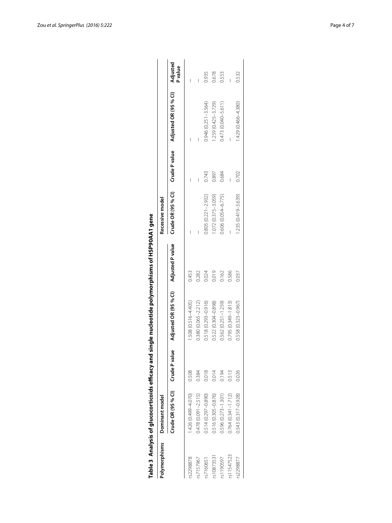|               | Table 3 Analysis of glucocorticoids efficacy and |       | single nucleotide polymorphisms of HSP90AA1 gene |       |                                  |       |                                |         |
|---------------|--------------------------------------------------|-------|--------------------------------------------------|-------|----------------------------------|-------|--------------------------------|---------|
| Polymorphisms | Dominant model                                   |       |                                                  |       | Recessive model                  |       |                                |         |
|               | Crude OR (95 % CI) Crude P value                 |       | Adjusted OR (95 % Cl) Adjusted P value           |       | Crude OR (95 % CI) Crude P value |       | Adjusted OR (95 % CI) Adjusted | P value |
| \$2298878     | 1.426 (0.499-4.070)                              | 0.508 | 1.508 (0.516-4.405)                              | 0.453 |                                  |       |                                |         |
| rs7157967     | $0.478(0.091 - 2.515)$                           | 0.384 | 0.380 (0.065-2.212)                              | 0.282 |                                  |       |                                |         |
| 37160651      | 0.514 (0.297-0.890)                              | 0.018 | $0.518(0.293 - 0.916)$                           | 0.024 | $0.805(0.221 - 2.932)$           | 0.743 | $0.946(0.251 - 3.564)$         | 0.935   |
| rs10873531    | 0.516 (0.305-0.876)                              | 0.014 | 0.522 (0.304-0.898)                              | 0.019 | 1.072 (0.375-3.059)              | 0.897 | $1.259(0.425 - 3.729)$         | 0.678   |
| rs1190597     | $0.596(0.273 - 1.301)$                           | 0.194 | $0.562(0.251 - 1.259)$                           | 0.162 | 0.606 (0.054-6.775)              | 0.684 | $0.473(0.040 - 5.611)$         | 0.553   |
| rs11547523    | $0.764(0.341 - 1.712)$                           | 0.513 | $0.795(0.349 - 1.813)$                           | 0.586 |                                  |       |                                |         |
| s2298877      | 0.543 (0.317-0.928)                              | 0.026 | 0.558 (0.323-0.967)                              | 0.037 | 1.235 (0.419-3.639)              | 0.702 | $(0.466 - 4.380)$              | 0.532   |
|               |                                                  |       |                                                  |       |                                  |       |                                |         |

<span id="page-3-0"></span>

| i                        |
|--------------------------|
|                          |
|                          |
|                          |
| $\frac{1}{2}$            |
|                          |
|                          |
|                          |
|                          |
|                          |
|                          |
|                          |
|                          |
|                          |
|                          |
|                          |
|                          |
|                          |
|                          |
|                          |
|                          |
|                          |
|                          |
|                          |
|                          |
|                          |
|                          |
|                          |
|                          |
|                          |
|                          |
|                          |
|                          |
|                          |
|                          |
|                          |
|                          |
|                          |
|                          |
|                          |
|                          |
|                          |
|                          |
|                          |
|                          |
| $\overline{\phantom{a}}$ |
|                          |
|                          |
| akthrame ,               |
|                          |
|                          |
|                          |
|                          |
|                          |
|                          |
|                          |
|                          |
|                          |
|                          |
|                          |
|                          |
|                          |
|                          |
|                          |
|                          |
|                          |
|                          |
|                          |
| ole?                     |
|                          |
|                          |
|                          |
|                          |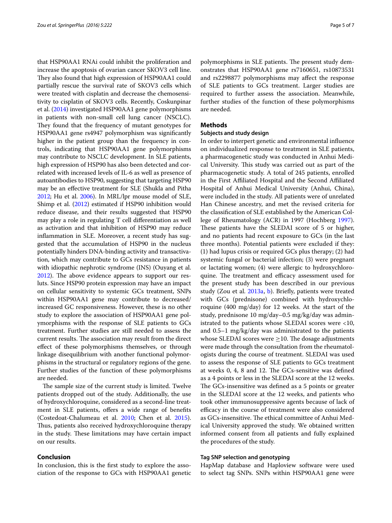that HSP90AA1 RNAi could inhibit the proliferation and increase the apoptosis of ovarian cancer SKOV3 cell line. They also found that high expression of HSP90AA1 could partially rescue the survival rate of SKOV3 cells which were treated with cisplatin and decrease the chemosensitivity to cisplatin of SKOV3 cells. Recently, Coskunpinar et al. [\(2014\)](#page-5-11) investigated HSP90AA1 gene polymorphisms in patients with non-small cell lung cancer (NSCLC). They found that the frequency of mutant genotypes for HSP90AA1 gene rs4947 polymorphism was significantly higher in the patient group than the frequency in controls, indicating that HSP90AA1 gene polymorphisms may contribute to NSCLC development. In SLE patients, high expression of HSP90 has also been detected and correlated with increased levels of IL-6 as well as presence of autoantibodies to HSP90, suggesting that targeting HSP90 may be an effective treatment for SLE (Shukla and Pitha [2012](#page-6-15); Hu et al. [2006](#page-6-16)). In MRL/lpr mouse model of SLE, Shimp et al. [\(2012\)](#page-6-17) estimated if HSP90 inhibition would reduce disease, and their results suggested that HSP90 may play a role in regulating T cell differentiation as well as activation and that inhibition of HSP90 may reduce inflammation in SLE. Moreover, a recent study has suggested that the accumulation of HSP90 in the nucleus potentially hinders DNA-binding activity and transactivation, which may contribute to GCs resistance in patients with idiopathic nephrotic syndrome (INS) (Ouyang et al. [2012](#page-6-7)). The above evidence appears to support our resluts. Since HSP90 protein expression may have an impact on cellular sensitivity to systemic GCs treatment, SNPs within HSP90AA1 gene may contribute to decreased/ increased GC responsiveness. However, these is no other study to explore the association of HSP90AA1 gene polymorphisms with the response of SLE patients to GCs treatment. Further studies are still needed to assess the current results. The association may result from the direct effect of these polymorphisms themselves, or through linkage disequilibrium with another functional polymorphisms in the structural or regulatory regions of the gene. Further studies of the function of these polymorphisms are needed.

The sample size of the current study is limited. Twelve patients dropped out of the study. Additionally, the use of hydroxychloroquine, considered as a second-line treatment in SLE patients, offers a wide range of benefits (Costedoat-Chalumeau et al. [2010;](#page-5-12) Chen et al. [2015](#page-5-13)). Thus, patients also received hydroxychloroquine therapy in the study. These limitations may have certain impact on our results.

# **Conclusion**

In conclusion, this is the first study to explore the association of the response to GCs with HSP90AA1 genetic

polymorphisms in SLE patients. The present study demonstrates that HSP90AA1 gene rs7160651, rs10873531 and rs2298877 polymorphisms may affect the response of SLE patients to GCs treatment. Larger studies are required to further assess the association. Meanwhile, further studies of the function of these polymorphisms are needed.

## **Methods**

#### **Subjects and study design**

In order to interpert genetic and environmental influence on individualized response to treatment in SLE patients, a pharmacogenetic study was conducted in Anhui Medical University. This study was carried out as part of the pharmacogenetic study. A total of 245 patients, enrolled in the First Affiliated Hospital and the Second Affiliated Hospital of Anhui Medical University (Anhui, China), were included in the study. All patients were of unrelated Han Chinese ancestry, and met the revised criteria for the classification of SLE established by the American College of Rheumatology (ACR) in 1997 (Hochberg [1997](#page-6-18)). These patients have the SLEDAI score of 5 or higher, and no patients had recent exposure to GCs (in the last three months). Potential patients were excluded if they: (1) had lupus crisis or required GCs plus therapy; (2) had systemic fungal or bacterial infection; (3) were pregnant or lactating women; (4) were allergic to hydroxychloroquine. The treatment and efficacy assessment used for the present study has been described in our previous study (Zou et al. [2013a,](#page-6-19) [b](#page-6-10)). Briefly, patients were treated with GCs (prednisone) combined with hydroxychloroquine (400 mg/day) for 12 weeks. At the start of the study, prednisone 10 mg/day–0.5 mg/kg/day was administrated to the patients whose SLEDAI scores were <10, and 0.5–1 mg/kg/day was administrated to the patients whose SLEDAI scores were  $\geq$ 10. The dosage adjustments were made through the consultation from the rheumatologists during the course of treatment. SLEDAI was used to assess the response of SLE patients to GCs treatment at weeks 0, 4, 8 and 12. The GCs-sensitive was defined as a 4 points or less in the SLEDAI score at the 12 weeks. The GCs-insensitive was defined as a 5 points or greater in the SLEDAI score at the 12 weeks, and patients who took other immunosuppressive agents because of lack of efficacy in the course of treatment were also considered as GCs-insensitive. The ethical committee of Anhui Medical University approved the study. We obtained written informed consent from all patients and fully explained the procedures of the study.

#### **Tag SNP selection and genotyping**

HapMap database and Haploview software were used to select tag SNPs. SNPs within HSP90AA1 gene were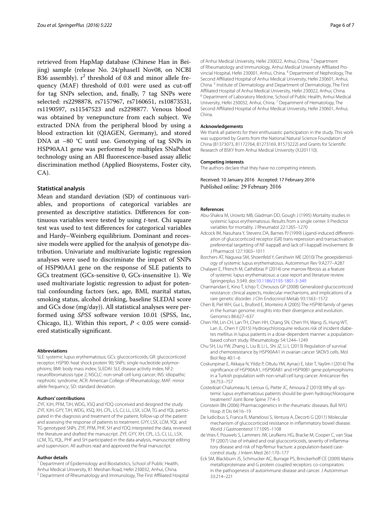retrieved from HapMap database (Chinese Han in Beijing) sample (release No. 24/phaseII Nov08, on NCBI B36 assembly).  $r^2$  threshold of 0.8 and minor allele frequency (MAF) threshold of 0.01 were used as cut-off for tag SNPs selection, and, finally, 7 tag SNPs were selected: rs2298878, rs7157967, rs7160651, rs10873531, rs1190597, rs11547523 and rs2298877. Venous blood was obtained by venepuncture from each subject. We extracted DNA from the peripheral blood by using a blood extraction kit (QIAGEN, Germany), and stored DNA at -80 °C until use. Genotyping of tag SNPs in HSP90AA1 gene was performed by multiplex SNaPshot technology using an ABI fluorescence-based assay allelic discrimination method (Applied Biosystems, Foster city, CA).

## **Statistical analysis**

Mean and standard deviation (SD) of continuous variables, and proportions of categorical variables are presented as descriptive statistics. Differences for continuous variables were tested by using *t*-test. Chi square test was used to test differences for categorical variables and Hardy–Weinberg equilibrium. Dominant and recessive models were applied for the analysis of genotype distribution. Univariate and multivariate logistic regression analyses were used to discriminate the impact of SNPs of HSP90AA1 gene on the response of SLE patients to GCs treatment (GCs-sensitive 0, GCs-insensitive 1). We used multivariate logistic regression to adjust for potential confounding factors (sex, age, BMI, marital status, smoking status, alcohol drinking, baseline SLEDAI score and GCs dose (mg/day)). All statistical analyses were performed using *SPSS* software version 10.01 (SPSS, Inc, Chicago, IL). Within this report,  $P < 0.05$  were considered statistically significant.

#### **Abbreviations**

SLE: systemic lupus erythematosus; GCs: glucocorticoids; GR: glucocorticoid receptor; HSP90: heat shock protein 90; SNPs: single nucleotide polymorphisms; BMI: body mass index; SLEDAI: SLE disease activity index; NF2: neurofibromatosis type 2; NSCLC: non-small cell lung cancer; INS: idiopathic nephrotic syndrome; ACR: American College of Rheumatology; MAF: minor allele frequency; SD: standard deviation.

#### **Authors' contributions**

ZYF, XJH, PFM, TJH, WDG, XSQ and YDQ conceived and designed the study. ZYE, XJH, GYY, TJH, WDG, XSO, XH, CPL, LS, CJ, LL, LSX, LCM, TG and YOL participated in the diagnosis and treatment of the patient, follow-up of the patient and assessing the response of patients to treatment. GYY, LSX, LCM, YQL and TG genotyped SNPs. ZYF, PFM, PHF, SH and YDQ interpreted the data, reviewed the literature and drafted the manuscript. ZYF, GYY, XH, CPL, LS, CJ, LL, LSX, LCM, TG, YQL, PHF and SH participated in the data analysis, manuscript editing and supervision. All authors read and approved the final manuscript.

#### **Author details**

<sup>1</sup> Department of Epidemiology and Biostatistics, School of Public Health, Anhui Medical University, 81 Meishan Road, Hefei 230032, Anhui, China.<br><sup>2</sup> Department of Rheumatology and Immunology, The First Affiliated Hospital of Anhui Medical University, Hefei 230022, Anhui, China.<sup>3</sup> Department of Rheumatology and Immunology, Anhui Medical University Affiliated Provincial Hospital, Hefei 230001, Anhui, China. 4 Department of Nephrology, The Second Affiliated Hospital of Anhui Medical University, Hefei 230601, Anhui, China. 5 Institute of Dermatology and Department of Dermatology, The First Affiliated Hospital of Anhui Medical University, Hefei 230022, Anhui, China.<br><sup>6</sup> Department of Laboratory Medcine, School of Public Health, Anhui Medical University, Hefei 230032, Anhui, China. <sup>7</sup> Department of Hematology, The Second Affiliated Hospital of Anhui Medical University, Hefei 230601, Anhui, China.

#### **Acknowledgements**

We thank all patients for their enthusiastic participation in the study. This work was supported by Grants from the National Natural Science Foundation of China (81373073, 81172764, 81273169, 81573222) and Grants for Scientific Research of BSKY from Anhui Medical University (XJ201110).

#### **Competing interests**

The authors declare that they have no competing interests.

Received: 10 January 2016 Accepted: 17 February 2016 Published online: 29 February 2016

#### **References**

- <span id="page-5-2"></span>Abu-Shakra M, Urowitz MB, Gladman DD, Gough J (1995) Mortality studies in systemic lupus erythematosus. Results from a single center. II Predictor variables for mortality. J Rheumatol 22:1265–1270
- <span id="page-5-5"></span>Adcock IM, Nasuhara Y, Stevens DA, Barnes PJ (1999) Ligand-induced differentiation of glucocorticoid receptor (GR) trans-repression and transactivation: preferential targetting of NF-kappaB and lack of I-kappaB involvement. Br J Pharmacol 127:1003–1011
- <span id="page-5-1"></span>Borchers AT, Naguwa SM, Shoenfeld Y, Gershwin ME (2010) The geoepidemiol‑ ogy of systemic lupus erythematosus. Autoimmun Rev 9:A277–A287
- <span id="page-5-0"></span>Chalayer E, Ffrench M, Cathébras P (2014) one marrow fibrosis as a feature of systemic lupus erythematosus: a case report and literature review. Springerplus 3:349. doi[:10.1186/2193-1801-3-349](http://dx.doi.org/10.1186/2193-1801-3-349)
- <span id="page-5-6"></span>Charmandari E, Kino T, Ichijo T, Chrousos GP (2008) Generalized glucocorticoid resistance: clinical aspects, molecular mechanisms, and implications of a rare genetic disorder. J Clin Endocrinol Metab 93:1563–1572
- <span id="page-5-7"></span>Chen B, Piel WH, Gui L, Bruford E, Monteiro A (2005) The HSP90 family of genes in the human genome: insights into their divergence and evolution. Genomics 86:627–637
- <span id="page-5-13"></span>Chen YM, Lin CH, Lan TH, Chen HH, Chang SN, Chen YH, Wang JS, Hung WT, Lan JL, Chen Y (2015) Hydroxychloroquine reduces risk of incident diabetes mellitus in lupus patients in a dose-dependent manner: a populationbased cohort study. Rheumatology 54:1244–1249
- <span id="page-5-10"></span>Chu SH, Liu YW, Zhang L, Liu B, Li L, Shi JZ, Li L (2013) Regulation of survival and chemoresistance by HSP90AA1 in ovarian cancer SKOV3 cells. Mol Biol Rep 40:1–6
- <span id="page-5-11"></span>Coskunpinar E, Akkaya N, Yildiz P, Oltulu YM, Aynaci E, Isbir T, Yaylim I (2014) The significance of HSP90AA1, HSP90AB1 and HSP90B1 gene polymorphisms in a Turkish population with non-small cell lung cancer. Anticancer Res 34:753–757
- <span id="page-5-12"></span>Costedoat-Chalumeau N, Leroux G, Piette JC, Amoura Z (2010) Why all systemic lupus erythematosus patients should be given hydroxychloroquine treatment? Joint Bone Spine 77:4–5
- <span id="page-5-4"></span>Cronstein BN (2006) Pharmacogenetics in the rheumatic diseases. Bull NYU Hosp Jt Dis 64:16–19
- <span id="page-5-3"></span>De Iudicibus S, Franca R, Martelossi S, Ventura A, Decorti G (2011) Molecular mechanism of glucocorticoid resistance in inflammatory bowel disease. World J Gastroenterol 17:1095–1108
- <span id="page-5-8"></span>de Vries F, Pouwels S, Lammers JW, Leufkens HG, Bracke M, Cooper C, van Staa TP (2007) Use of inhaled and oral glucocorticoids, severity of inflammatory disease and risk of hip/femur fracture: a population-based casecontrol study. J Intern Med 261:170–177
- <span id="page-5-9"></span>Eck SM, Blackburn JS, Schmucker AC, Burrage PS, Brinckerhoff CE (2009) Matrix metalloproteinase and G protein coupled receptors: co-conspirators in the pathogenesis of autoimmune disease and cancer. J Autoimmun 33:214–221